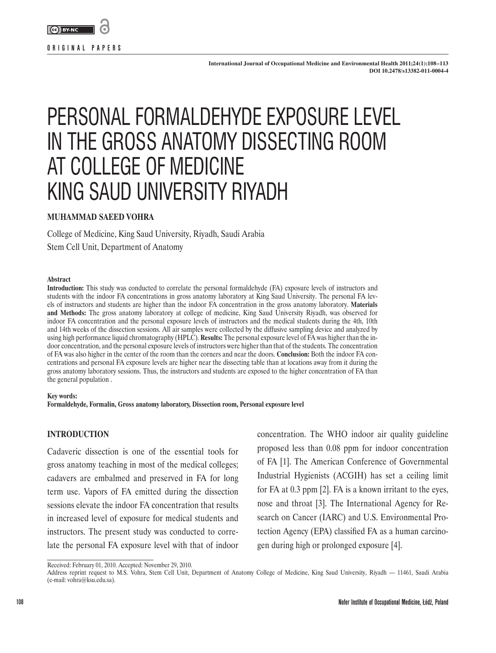

**International Journal of Occupational Medicine and Environmental Health 2011;24(1):108–113 DOI 10.2478/s13382-011-0004-4**

# PERSONAL FORMALDEHYDE EXPOSURE LEVEL IN THE GROSS ANATOMY DISSECTING ROOM AT COLLEGE OF MEDICINE KING SAUD UNIVERSITY RIYADH

#### **MUHAMMAD SAEED VOHRA**

College of Medicine, King Saud University, Riyadh, Saudi Arabia Stem Cell Unit, Department of Anatomy

#### **Abstract**

**Introduction:** This study was conducted to correlate the personal formaldehyde (FA) exposure levels of instructors and students with the indoor FA concentrations in gross anatomy laboratory at King Saud University. The personal FA levels of instructors and students are higher than the indoor FA concentration in the gross anatomy laboratory. **Materials and Methods:** The gross anatomy laboratory at college of medicine, King Saud University Riyadh, was observed for indoor FA concentration and the personal exposure levels of instructors and the medical students during the 4th, 10th and 14th weeks of the dissection sessions. All air samples were collected by the diffusive sampling device and analyzed by using high performance liquid chromatography (HPLC). **Results:** The personal exposure level of FA was higher than the indoor concentration, and the personal exposure levels of instructors were higher than that of the students. The concentration of FA was also higher in the center of the room than the corners and near the doors. **Conclusion:** Both the indoor FA concentrations and personal FA exposure levels are higher near the dissecting table than at locations away from it during the gross anatomy laboratory sessions. Thus, the instructors and students are exposed to the higher concentration of FA than the general population .

#### **Key words:**

**Formaldehyde, Formalin, Gross anatomy laboratory, Dissection room, Personal exposure level**

#### **INTRODUCTION**

Cadaveric dissection is one of the essential tools for gross anatomy teaching in most of the medical colleges; cadavers are embalmed and preserved in FA for long term use. Vapors of FA emitted during the dissection sessions elevate the indoor FA concentration that results in increased level of exposure for medical students and instructors. The present study was conducted to correlate the personal FA exposure level with that of indoor concentration. The WHO indoor air quality guideline proposed less than 0.08 ppm for indoor concentration of FA [1]. The American Conference of Governmental Industrial Hygienists (ACGIH) has set a ceiling limit for FA at 0.3 ppm [2]. FA is a known irritant to the eyes, nose and throat [3]. The International Agency for Research on Cancer (IARC) and U.S. Environmental Protection Agency (EPA) classified FA as a human carcinogen during high or prolonged exposure [4].

Received: February 01, 2010. Accepted: November 29, 2010.

Address reprint request to M.S. Vohra, Stem Cell Unit, Department of Anatomy College of Medicine, King Saud University, Riyadh — 11461, Saudi Arabia (e-mail: vohra@ksu.edu.sa).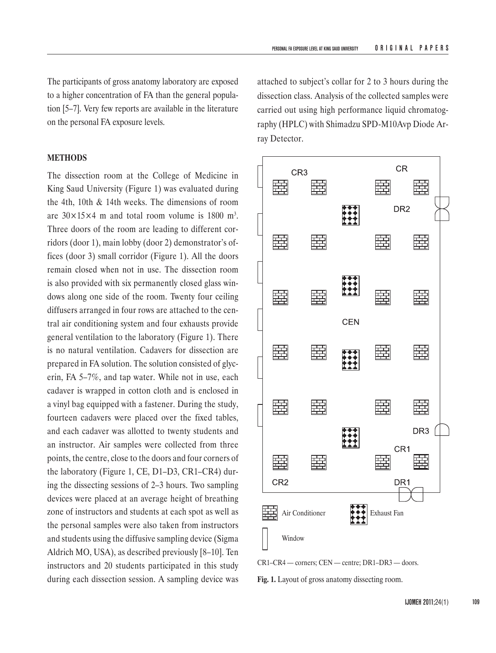The participants of gross anatomy laboratory are exposed to a higher concentration of FA than the general population [5–7]. Very few reports are available in the literature on the personal FA exposure levels.

#### **METHODS**

The dissection room at the College of Medicine in King Saud University (Figure 1) was evaluated during the 4th, 10th & 14th weeks. The dimensions of room are  $30\times15\times4$  m and total room volume is 1800 m<sup>3</sup>. Three doors of the room are leading to different corridors (door 1), main lobby (door 2) demonstrator's offices (door 3) small corridor (Figure 1). All the doors remain closed when not in use. The dissection room is also provided with six permanently closed glass windows along one side of the room. Twenty four ceiling diffusers arranged in four rows are attached to the central air conditioning system and four exhausts provide general ventilation to the laboratory (Figure 1). There is no natural ventilation. Cadavers for dissection are prepared in FA solution. The solution consisted of glycerin, FA 5–7%, and tap water. While not in use, each cadaver is wrapped in cotton cloth and is enclosed in a vinyl bag equipped with a fastener. During the study, fourteen cadavers were placed over the fixed tables, and each cadaver was allotted to twenty students and an instructor. Air samples were collected from three points, the centre, close to the doors and four corners of the laboratory (Figure 1, CE, D1–D3, CR1–CR4) during the dissecting sessions of 2–3 hours. Two sampling devices were placed at an average height of breathing zone of instructors and students at each spot as well as the personal samples were also taken from instructors and students using the diffusive sampling device (Sigma Aldrich MO, USA), as described previously [8–10]. Ten instructors and 20 students participated in this study during each dissection session. A sampling device was

attached to subject's collar for 2 to 3 hours during the dissection class. Analysis of the collected samples were carried out using high performance liquid chromatography (HPLC) with Shimadzu SPD-M10Avp Diode Array Detector.





**Fig. 1.** Layout of gross anatomy dissecting room.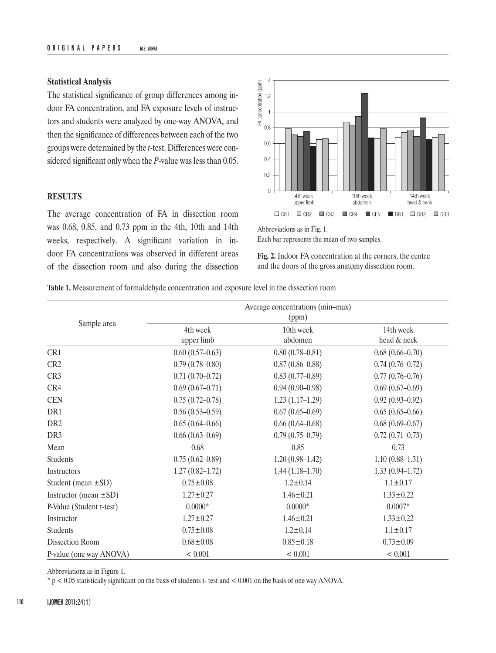### **Statistical Analysis**

The statistical significance of group differences among indoor FA concentration, and FA exposure levels of instructors and students were analyzed by one-way ANOVA, and then the significance of differences between each of the two groups were determined by the *t*-test. Differences were considered significant only when the *P*-value was less than 0.05.

## **RESULTS**

The average concentration of FA in dissection room was 0.68, 0.85, and 0.73 ppm in the 4th, 10th and 14th weeks, respectively. A significant variation in indoor FA concentrations was observed in different areas of the dissection room and also during the dissection



Abbreviations as in Fig. 1.

Each bar represents the mean of two samples.

**Fig. 2.** Indoor FA concentration at the corners, the centre and the doors of the gross anatomy dissection room.

**Table 1.** Measurement of formaldehyde concentration and exposure level in the dissection room

| Sample area                | Average concentrations (min-max)<br>(ppm) |                      |                          |
|----------------------------|-------------------------------------------|----------------------|--------------------------|
|                            | 4th week<br>upper limb                    | 10th week<br>abdomen | 14th week<br>head & neck |
| CR1                        | $0.60(0.57-0.63)$                         | $0.80(0.78 - 0.81)$  | $0.68(0.66 - 0.70)$      |
| CR <sub>2</sub>            | $0.79(0.78 - 0.80)$                       | $0.87(0.86 - 0.88)$  | $0.74(0.76 - 0.72)$      |
| CR3                        | $0.71(0.70-0.72)$                         | $0.83(0.77-0.89)$    | $0.77(0.76 - 0.76)$      |
| CR4                        | $0.69(0.67-0.71)$                         | $0.94(0.90 - 0.98)$  | $0.69(0.67-0.69)$        |
| <b>CEN</b>                 | $0.75(0.72 - 0.78)$                       | $1.23(1.17-1.29)$    | $0.92(0.93 - 0.92)$      |
| DR1                        | $0.56(0.53-0.59)$                         | $0.67(0.65-0.69)$    | $0.65(0.65-0.66)$        |
| DR <sub>2</sub>            | $0.65(0.64 - 0.66)$                       | $0.66(0.64 - 0.68)$  | $0.68(0.69 - 0.67)$      |
| DR <sub>3</sub>            | $0.66(0.63 - 0.69)$                       | $0.79(0.75-0.79)$    | $0.72(0.71 - 0.73)$      |
| Mean                       | 0.68                                      | 0.85                 | 0.73                     |
| Students                   | $0.75(0.62 - 0.89)$                       | $1.20(0.98-1.42)$    | $1.10(0.88 - 1.31)$      |
| Instructors                | $1.27(0.82 - 1.72)$                       | $1.44(1.18-1.70)$    | $1.33(0.94 - 1.72)$      |
| Student (mean $\pm$ SD)    | $0.75 \pm 0.08$                           | $1.2 \pm 0.14$       | $1.1 \pm 0.17$           |
| Instructor (mean $\pm$ SD) | $1.27 \pm 0.27$                           | $1.46 \pm 0.21$      | $1.33 \pm 0.22$          |
| P-Value (Student t-test)   | $0.0000*$                                 | $0.0000*$            | $0.0007*$                |
| Instructor                 | $1.27 \pm 0.27$                           | $1.46 \pm 0.21$      | $1.33 \pm 0.22$          |
| Students                   | $0.75 \pm 0.08$                           | $1.2 \pm 0.14$       | $1.1 \pm 0.17$           |
| Dissection Room            | $0.68 \pm 0.08$                           | $0.85 \pm 0.18$      | $0.73 \pm 0.09$          |
| P-value (one way ANOVA)    | < 0.001                                   | < 0.001              | < 0.001                  |

Abbreviations as in Figure 1.

\* p < 0.05 statistically significant on the basis of students t- test and < 0.001 on the basis of one way ANOVA.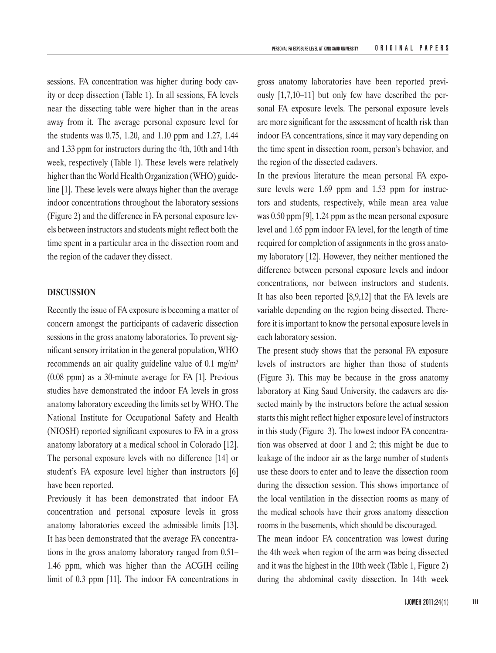sessions. FA concentration was higher during body cavity or deep dissection (Table 1). In all sessions, FA levels near the dissecting table were higher than in the areas away from it. The average personal exposure level for the students was 0.75, 1.20, and 1.10 ppm and 1.27, 1.44 and 1.33 ppm for instructors during the 4th, 10th and 14th week, respectively (Table 1). These levels were relatively higher than the World Health Organization (WHO) guideline [1]. These levels were always higher than the average indoor concentrations throughout the laboratory sessions (Figure 2) and the difference in FA personal exposure levels between instructors and students might reflect both the time spent in a particular area in the dissection room and the region of the cadaver they dissect.

#### **DISCUSSION**

Recently the issue of FA exposure is becoming a matter of concern amongst the participants of cadaveric dissection sessions in the gross anatomy laboratories. To prevent significant sensory irritation in the general population, WHO recommends an air quality guideline value of 0.1 mg/m<sup>3</sup> (0.08 ppm) as a 30-minute average for FA [1]. Previous studies have demonstrated the indoor FA levels in gross anatomy laboratory exceeding the limits set by WHO. The National Institute for Occupational Safety and Health (NIOSH) reported significant exposures to FA in a gross anatomy laboratory at a medical school in Colorado [12]. The personal exposure levels with no difference [14] or student's FA exposure level higher than instructors [6] have been reported.

Previously it has been demonstrated that indoor FA concentration and personal exposure levels in gross anatomy laboratories exceed the admissible limits [13]. It has been demonstrated that the average FA concentrations in the gross anatomy laboratory ranged from 0.51– 1.46 ppm, which was higher than the ACGIH ceiling limit of 0.3 ppm [11]. The indoor FA concentrations in gross anatomy laboratories have been reported previously [1,7,10–11] but only few have described the personal FA exposure levels. The personal exposure levels are more significant for the assessment of health risk than indoor FA concentrations, since it may vary depending on the time spent in dissection room, person's behavior, and the region of the dissected cadavers.

In the previous literature the mean personal FA exposure levels were 1.69 ppm and 1.53 ppm for instructors and students, respectively, while mean area value was 0.50 ppm [9], 1.24 ppm as the mean personal exposure level and 1.65 ppm indoor FA level, for the length of time required for completion of assignments in the gross anatomy laboratory [12]. However, they neither mentioned the difference between personal exposure levels and indoor concentrations, nor between instructors and students. It has also been reported [8,9,12] that the FA levels are variable depending on the region being dissected. Therefore it is important to know the personal exposure levels in each laboratory session.

The present study shows that the personal FA exposure levels of instructors are higher than those of students (Figure 3). This may be because in the gross anatomy laboratory at King Saud University, the cadavers are dissected mainly by the instructors before the actual session starts this might reflect higher exposure level of instructors in this study (Figure 3). The lowest indoor FA concentration was observed at door 1 and 2; this might be due to leakage of the indoor air as the large number of students use these doors to enter and to leave the dissection room during the dissection session. This shows importance of the local ventilation in the dissection rooms as many of the medical schools have their gross anatomy dissection rooms in the basements, which should be discouraged.

The mean indoor FA concentration was lowest during the 4th week when region of the arm was being dissected and it was the highest in the 10th week (Table 1, Figure 2) during the abdominal cavity dissection. In 14th week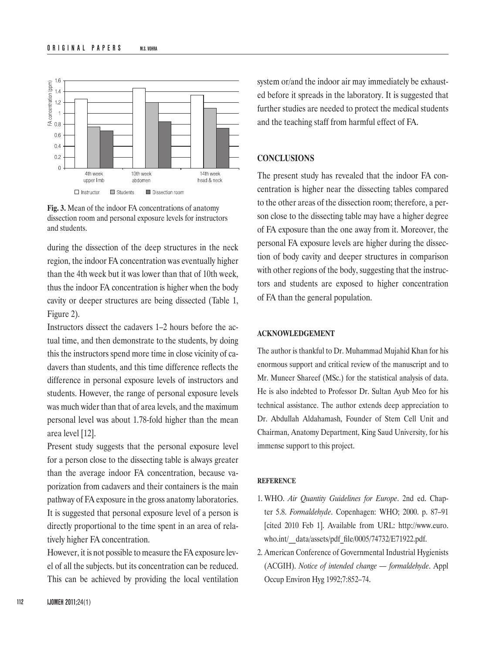

**Fig. 3.** Mean of the indoor FA concentrations of anatomy dissection room and personal exposure levels for instructors and students.

during the dissection of the deep structures in the neck region, the indoor FA concentration was eventually higher than the 4th week but it was lower than that of 10th week, thus the indoor FA concentration is higher when the body cavity or deeper structures are being dissected (Table 1, Figure 2).

Instructors dissect the cadavers 1–2 hours before the actual time, and then demonstrate to the students, by doing this the instructors spend more time in close vicinity of cadavers than students, and this time difference reflects the difference in personal exposure levels of instructors and students. However, the range of personal exposure levels was much wider than that of area levels, and the maximum personal level was about 1.78-fold higher than the mean area level [12].

Present study suggests that the personal exposure level for a person close to the dissecting table is always greater than the average indoor FA concentration, because vaporization from cadavers and their containers is the main pathway of FA exposure in the gross anatomy laboratories. It is suggested that personal exposure level of a person is directly proportional to the time spent in an area of relatively higher FA concentration.

However, it is not possible to measure the FA exposure level of all the subjects. but its concentration can be reduced. This can be achieved by providing the local ventilation system or/and the indoor air may immediately be exhausted before it spreads in the laboratory. It is suggested that further studies are needed to protect the medical students and the teaching staff from harmful effect of FA.

# **CONCLUSIONS**

The present study has revealed that the indoor FA concentration is higher near the dissecting tables compared to the other areas of the dissection room; therefore, a person close to the dissecting table may have a higher degree of FA exposure than the one away from it. Moreover, the personal FA exposure levels are higher during the dissection of body cavity and deeper structures in comparison with other regions of the body, suggesting that the instructors and students are exposed to higher concentration of FA than the general population.

#### **ACKNOWLEDGEMENT**

The author is thankful to Dr. Muhammad Mujahid Khan for his enormous support and critical review of the manuscript and to Mr. Muneer Shareef (MSc.) for the statistical analysis of data. He is also indebted to Professor Dr. Sultan Ayub Meo for his technical assistance. The author extends deep appreciation to Dr. Abdullah Aldahamash, Founder of Stem Cell Unit and Chairman, Anatomy Department, King Saud University, for his immense support to this project.

#### **REFERENCE**

- 1. WHO. *Air Quantity Guidelines for Europe*. 2nd ed. Chapter 5.8. *Formaldehyde*. Copenhagen: WHO; 2000. p. 87–91 [cited 2010 Feb 1]. Available from URL: http://www.euro. who.int/ data/assets/pdf\_file/0005/74732/E71922.pdf.
- 2. American Conference of Governmental Industrial Hygienists (ACGIH). *Notice of intended change — formaldehyde*. Appl Occup Environ Hyg 1992;7:852–74.